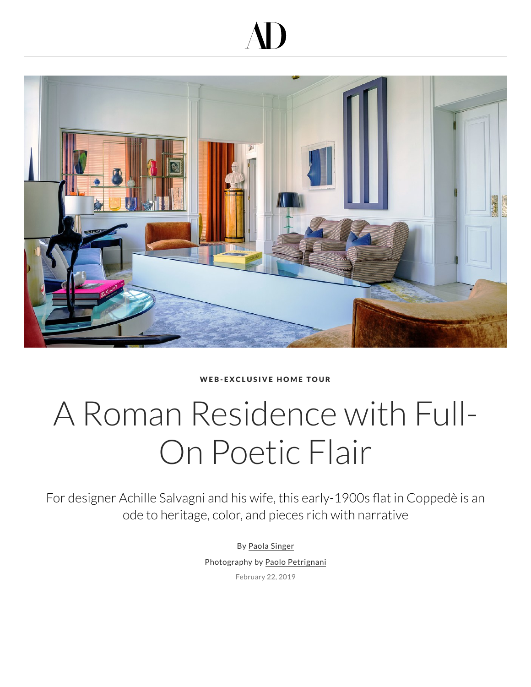## AD



WEB-EXCLUSIVE HOME TOUR

## A Roman Residence with Full-On Poetic Flair

For designer Achille Salvagni and his wife, this early-1900s flat in Coppedè is an ode to heritage, color, and pieces rich with narrative

> By Paola Singer Photography by Paolo Petrignani

> > February 22, 2019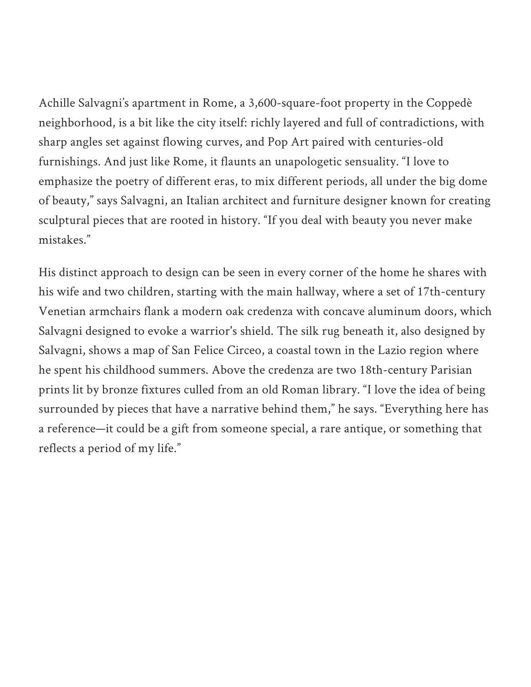Achille Salvagni's apartment in Rome, a 3,600-square-foot property in the Coppedè neighborhood, is a bit like the city itself: richly layered and full of contradictions, with sharp angles set against flowing curves, and Pop Art paired with centuries-old furnishings. And just like Rome, it flaunts an unapologetic sensuality. "I love to emphasize the poetry of different eras, to mix different periods, all under the big dome of beauty," says Salvagni, an Italian architect and furniture designer known for creating sculptural pieces that are rooted in history. "If you deal with beauty you never make mistakes."

His distinct approach to design can be seen in every corner of the home he shares with his wife and two children, starting with the main hallway, where a set of 17th-century Venetian armchairs flank a modern oak credenza with concave aluminum doors, which Salvagni designed to evoke a warrior's shield. The silk rug beneath it, also designed by Salvagni, shows a map of San Felice Circeo, a coastal town in the Lazio region where he spent his childhood summers. Above the credenza are two 18th-century Parisian prints lit by bronze fixtures culled from an old Roman library. "I love the idea of being surrounded by pieces that have a narrative behind them," he says. "Everything here has a reference—it could be a gift from someone special, a rare antique, or something that reflects a period of my life."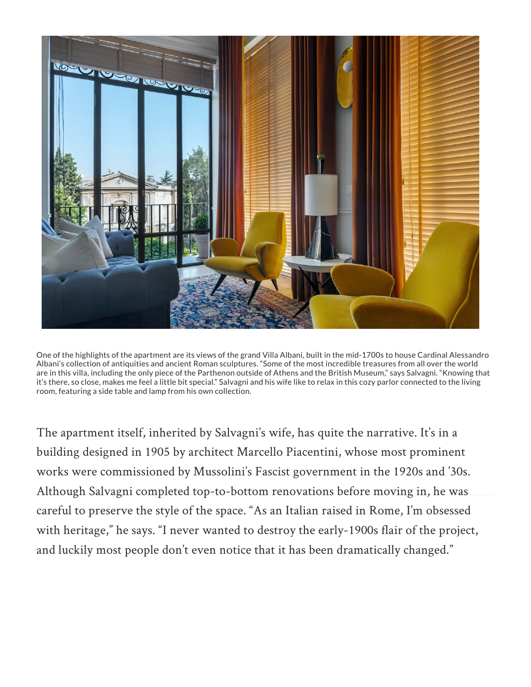

One of the highlights of the apartment are its views of the grand Villa Albani, built in the mid-1700s to house Cardinal Alessandro Albani's collection of antiquities and ancient Roman sculptures. "Some of the most incredible treasures from all over the world are in this villa, including the only piece of the Parthenon outside of Athens and the British Museum," says Salvagni. "Knowing that it's there, so close, makes me feel a little bit special." Salvagni and his wife like to relax in this cozy parlor connected to the living room, featuring a side table and lamp from his own collection.

The apartment itself, inherited by Salvagni's wife, has quite the narrative. It's in a building designed in 1905 by architect Marcello Piacentini, whose most prominent works were commissioned by Mussolini's Fascist government in the 1920s and '30s. Although Salvagni completed top-to-bottom renovations before moving in, he was careful to preserve the style of the space. "As an Italian raised in Rome, I'm obsessed [with heritage," he says. "I never wanted to destroy the early-1900s flair of the project,](http://video.architecturaldigest.com/watch/tennis-taffy-and-toparies-at-tory-burch-s-hampton-s-home) and luckily most people don't even notice that it has been dramatically changed."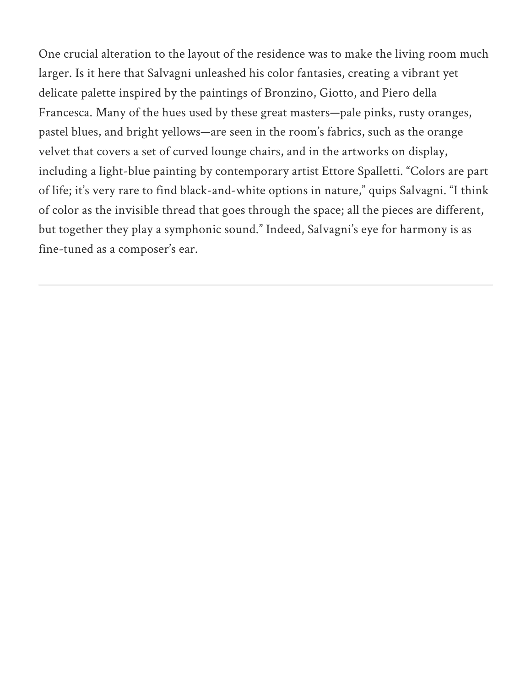One crucial alteration to the layout [of the residence](https://www.architecturaldigest.com/) was to make the living room [much](https://www.architecturaldigest.com/search) larger. Is it here that Salvagni unleashed his color fantasies, creating a vibrant yet delicate palette inspired by the paintings of Bronzino, Giotto, and Piero della Francesca. Many of the hues used by these great masters—pale pinks, rusty oranges, pastel blues, and bright yellows—are seen in the room's fabrics, such as the orange velvet that covers a set of curved lounge chairs, and in the artworks on display, including a light-blue painting by contemporary artist Ettore Spalletti. "Colors are part of life; it's very rare to find black-and-white options in nature," quips Salvagni. "I think of color as the invisible thread that goes through the space; all the pieces are different, but together they play a symphonic sound." Indeed, Salvagni's eye for harmony is as fine-tuned as a composer's ear.